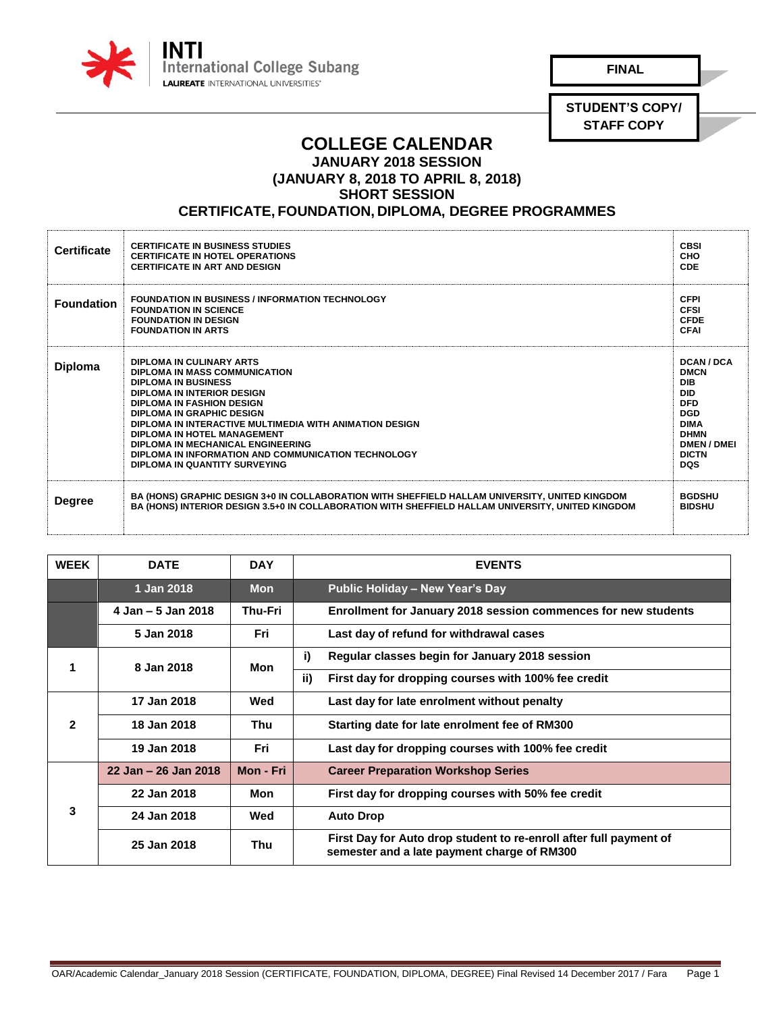

**FINAL**

**STUDENT'S COPY/ STAFF COPY**

## **COLLEGE CALENDAR JANUARY 2018 SESSION**

**(JANUARY 8, 2018 TO APRIL 8, 2018)**

**SHORT SESSION** 

## **CERTIFICATE, FOUNDATION, DIPLOMA, DEGREE PROGRAMMES**

| <b>Certificate</b> | <b>CERTIFICATE IN BUSINESS STUDIES</b><br><b>CERTIFICATE IN HOTEL OPERATIONS</b><br><b>CERTIFICATE IN ART AND DESIGN</b>                                                                                                                                                                                                                                                                                             | <b>CBSI</b><br>CHO<br><b>CDE</b>                                                                                                                                  |
|--------------------|----------------------------------------------------------------------------------------------------------------------------------------------------------------------------------------------------------------------------------------------------------------------------------------------------------------------------------------------------------------------------------------------------------------------|-------------------------------------------------------------------------------------------------------------------------------------------------------------------|
| <b>Foundation</b>  | <b>FOUNDATION IN BUSINESS / INFORMATION TECHNOLOGY</b><br><b>FOUNDATION IN SCIENCE</b><br><b>FOUNDATION IN DESIGN</b><br><b>FOUNDATION IN ARTS</b>                                                                                                                                                                                                                                                                   | <b>CFPI</b><br><b>CFSI</b><br><b>CFDE</b><br><b>CFAI</b>                                                                                                          |
| <b>Diploma</b>     | DIPLOMA IN CULINARY ARTS<br>DIPLOMA IN MASS COMMUNICATION<br><b>DIPLOMA IN BUSINESS</b><br>DIPLOMA IN INTERIOR DESIGN<br><b>DIPLOMA IN FASHION DESIGN</b><br><b>DIPLOMA IN GRAPHIC DESIGN</b><br>DIPLOMA IN INTERACTIVE MULTIMEDIA WITH ANIMATION DESIGN<br>DIPLOMA IN HOTEL MANAGEMENT<br>DIPLOMA IN MECHANICAL ENGINEERING<br>DIPLOMA IN INFORMATION AND COMMUNICATION TECHNOLOGY<br>DIPLOMA IN QUANTITY SURVEYING | DCAN / DCA<br><b>DMCN</b><br><b>DIB</b><br><b>DID</b><br><b>DFD</b><br><b>DGD</b><br><b>DIMA</b><br><b>DHMN</b><br><b>DMEN/DMEI</b><br><b>DICTN</b><br><b>DQS</b> |
| <b>Degree</b>      | BA (HONS) GRAPHIC DESIGN 3+0 IN COLLABORATION WITH SHEFFIELD HALLAM UNIVERSITY, UNITED KINGDOM<br>BA (HONS) INTERIOR DESIGN 3.5+0 IN COLLABORATION WITH SHEFFIELD HALLAM UNIVERSITY, UNITED KINGDOM                                                                                                                                                                                                                  | <b>BGDSHU</b><br><b>BIDSHU</b>                                                                                                                                    |

| <b>WEEK</b>  | <b>DATE</b>          | <b>DAY</b> | <b>EVENTS</b>                                                                                                     |
|--------------|----------------------|------------|-------------------------------------------------------------------------------------------------------------------|
|              | 1 Jan 2018           | <b>Mon</b> | <b>Public Holiday - New Year's Day</b>                                                                            |
|              | 4 Jan - 5 Jan 2018   | Thu-Fri    | Enrollment for January 2018 session commences for new students                                                    |
|              | 5 Jan 2018           | <b>Fri</b> | Last day of refund for withdrawal cases                                                                           |
| 1            | 8 Jan 2018           | Mon        | i)<br>Regular classes begin for January 2018 session                                                              |
|              |                      |            | ii)<br>First day for dropping courses with 100% fee credit                                                        |
| $\mathbf{2}$ | 17 Jan 2018          | Wed        | Last day for late enrolment without penalty                                                                       |
|              | 18 Jan 2018          | Thu        | Starting date for late enrolment fee of RM300                                                                     |
|              | 19 Jan 2018          | <b>Fri</b> | Last day for dropping courses with 100% fee credit                                                                |
| 3            | 22 Jan - 26 Jan 2018 | Mon - Fri  | <b>Career Preparation Workshop Series</b>                                                                         |
|              | 22 Jan 2018          | Mon        | First day for dropping courses with 50% fee credit                                                                |
|              | 24 Jan 2018          | Wed        | <b>Auto Drop</b>                                                                                                  |
|              | 25 Jan 2018          | Thu        | First Day for Auto drop student to re-enroll after full payment of<br>semester and a late payment charge of RM300 |